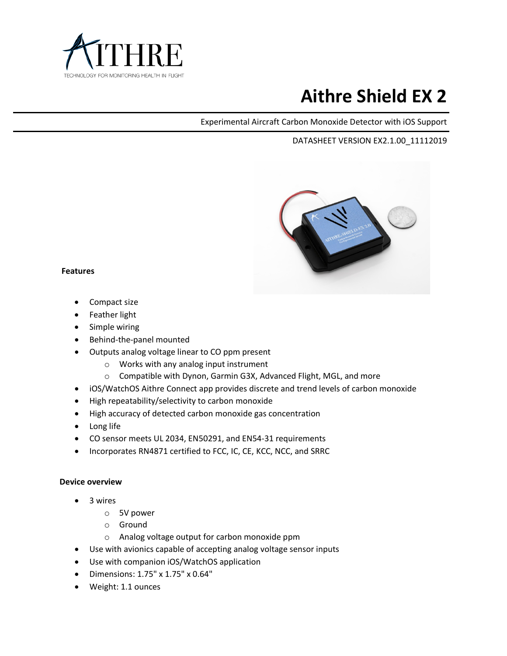

# **Aithre Shield EX 2**

Experimental Aircraft Carbon Monoxide Detector with iOS Support

## DATASHEET VERSION EX2.1.00\_11112019



#### **Features**

- Compact size
- Feather light
- Simple wiring
- Behind-the-panel mounted
- Outputs analog voltage linear to CO ppm present
	- o Works with any analog input instrument
	- o Compatible with Dynon, Garmin G3X, Advanced Flight, MGL, and more
- iOS/WatchOS Aithre Connect app provides discrete and trend levels of carbon monoxide
- High repeatability/selectivity to carbon monoxide
- High accuracy of detected carbon monoxide gas concentration
- Long life
- CO sensor meets UL 2034, EN50291, and EN54-31 requirements
- Incorporates RN4871 certified to FCC, IC, CE, KCC, NCC, and SRRC

#### **Device overview**

- 3 wires
	- o 5V power
	- o Ground
	- o Analog voltage output for carbon monoxide ppm
- Use with avionics capable of accepting analog voltage sensor inputs
- Use with companion iOS/WatchOS application
- Dimensions: 1.75" x 1.75" x 0.64"
- Weight: 1.1 ounces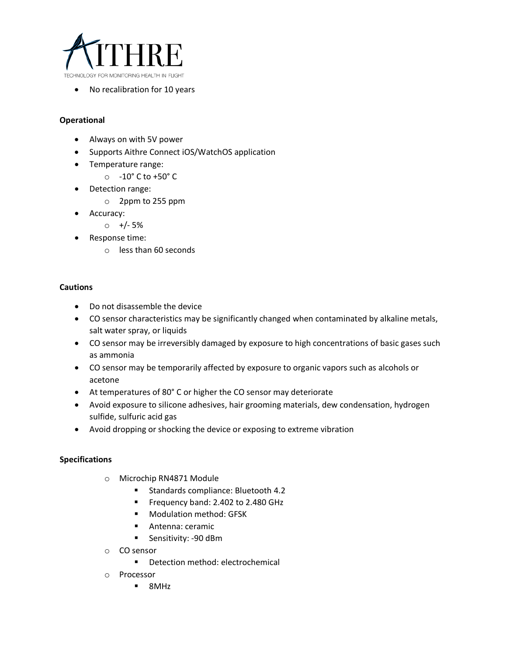

No recalibration for 10 years

## **Operational**

- Always on with 5V power
- Supports Aithre Connect iOS/WatchOS application
- Temperature range:
	- o -10° C to +50° C
- Detection range:
	- o 2ppm to 255 ppm
- Accuracy:
	- $\circ$  +/-5%
- Response time:
	- o less than 60 seconds

#### **Cautions**

- Do not disassemble the device
- CO sensor characteristics may be significantly changed when contaminated by alkaline metals, salt water spray, or liquids
- CO sensor may be irreversibly damaged by exposure to high concentrations of basic gases such as ammonia
- CO sensor may be temporarily affected by exposure to organic vapors such as alcohols or acetone
- At temperatures of 80° C or higher the CO sensor may deteriorate
- Avoid exposure to silicone adhesives, hair grooming materials, dew condensation, hydrogen sulfide, sulfuric acid gas
- Avoid dropping or shocking the device or exposing to extreme vibration

## **Specifications**

- o Microchip RN4871 Module
	- **Standards compliance: Bluetooth 4.2**
	- Frequency band: 2.402 to 2.480 GHz
	- **Modulation method: GFSK**
	- **Antenna: ceramic**
	- **Sensitivity: -90 dBm**
- o CO sensor
	- Detection method: electrochemical
- o Processor
	- 8MHz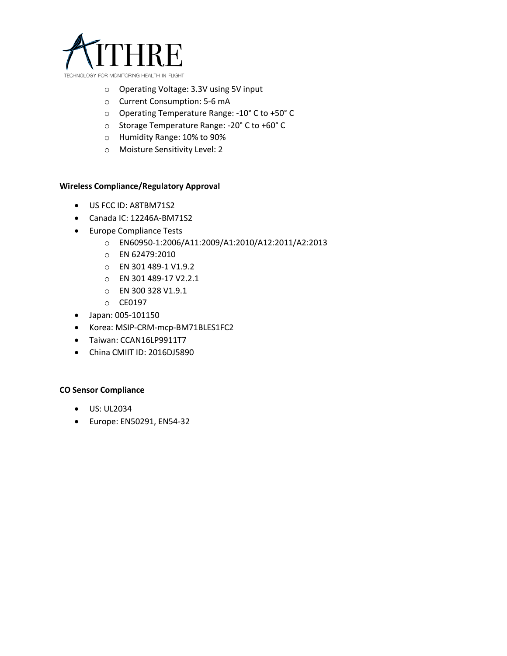

- o Operating Voltage: 3.3V using 5V input
- o Current Consumption: 5-6 mA
- o Operating Temperature Range: -10° C to +50° C
- o Storage Temperature Range: -20° C to +60° C
- o Humidity Range: 10% to 90%
- o Moisture Sensitivity Level: 2

## **Wireless Compliance/Regulatory Approval**

- US FCC ID: A8TBM71S2
- Canada IC: 12246A-BM71S2
- Europe Compliance Tests
	- o EN60950-1:2006/A11:2009/A1:2010/A12:2011/A2:2013
	- o EN 62479:2010
	- o EN 301 489-1 V1.9.2
	- o EN 301 489-17 V2.2.1
	- o EN 300 328 V1.9.1
	- o CE0197
- Japan: 005-101150
- Korea: MSIP-CRM-mcp-BM71BLES1FC2
- Taiwan: CCAN16LP9911T7
- China CMIIT ID: 2016DJ5890

## **CO Sensor Compliance**

- US: UL2034
- Europe: EN50291, EN54-32